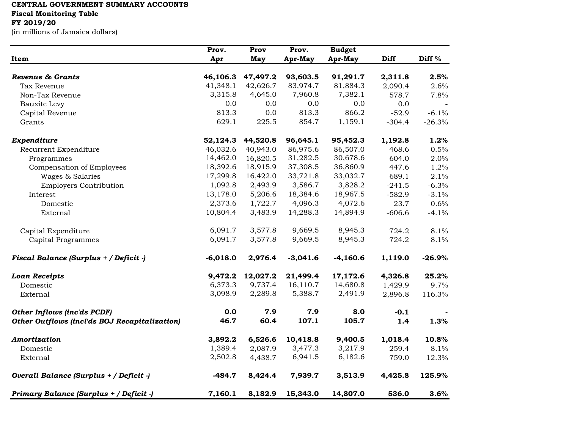## **CENTRAL GOVERNMENT SUMMARY ACCOUNTS**

**Fiscal Monitoring Table**

## **FY 2019/20**

(in millions of Jamaica dollars)

|                                               | Prov.      | Prov     | Prov.      | <b>Budget</b> |          |                   |
|-----------------------------------------------|------------|----------|------------|---------------|----------|-------------------|
| Item                                          | Apr        | May      | Apr-May    | Apr-May       | Diff     | Diff <sup>%</sup> |
| Revenue & Grants                              | 46,106.3   | 47,497.2 | 93,603.5   | 91,291.7      | 2,311.8  | 2.5%              |
| Tax Revenue                                   | 41,348.1   | 42,626.7 | 83,974.7   | 81,884.3      | 2,090.4  | 2.6%              |
| Non-Tax Revenue                               | 3,315.8    | 4,645.0  | 7,960.8    | 7,382.1       | 578.7    | 7.8%              |
| Bauxite Levy                                  | 0.0        | 0.0      | 0.0        | 0.0           | 0.0      |                   |
| Capital Revenue                               | 813.3      | 0.0      | 813.3      | 866.2         | $-52.9$  | $-6.1%$           |
| Grants                                        | 629.1      | 225.5    | 854.7      | 1,159.1       | $-304.4$ | $-26.3%$          |
| Expenditure                                   | 52,124.3   | 44,520.8 | 96,645.1   | 95,452.3      | 1,192.8  | 1.2%              |
| Recurrent Expenditure                         | 46,032.6   | 40,943.0 | 86,975.6   | 86,507.0      | 468.6    | 0.5%              |
| Programmes                                    | 14,462.0   | 16,820.5 | 31,282.5   | 30,678.6      | 604.0    | 2.0%              |
| Compensation of Employees                     | 18,392.6   | 18,915.9 | 37,308.5   | 36,860.9      | 447.6    | 1.2%              |
| Wages & Salaries                              | 17,299.8   | 16,422.0 | 33,721.8   | 33,032.7      | 689.1    | 2.1%              |
| <b>Employers Contribution</b>                 | 1,092.8    | 2,493.9  | 3,586.7    | 3,828.2       | $-241.5$ | $-6.3%$           |
| Interest                                      | 13,178.0   | 5,206.6  | 18,384.6   | 18,967.5      | $-582.9$ | $-3.1%$           |
| Domestic                                      | 2,373.6    | 1,722.7  | 4,096.3    | 4,072.6       | 23.7     | 0.6%              |
| External                                      | 10,804.4   | 3,483.9  | 14,288.3   | 14,894.9      | $-606.6$ | $-4.1%$           |
| Capital Expenditure                           | 6,091.7    | 3,577.8  | 9,669.5    | 8,945.3       | 724.2    | 8.1%              |
| Capital Programmes                            | 6,091.7    | 3,577.8  | 9,669.5    | 8,945.3       | 724.2    | 8.1%              |
| Fiscal Balance (Surplus + / Deficit -)        | $-6,018.0$ | 2,976.4  | $-3,041.6$ | $-4,160.6$    | 1,119.0  | $-26.9%$          |
| <b>Loan Receipts</b>                          | 9,472.2    | 12,027.2 | 21,499.4   | 17,172.6      | 4,326.8  | 25.2%             |
| Domestic                                      | 6,373.3    | 9,737.4  | 16,110.7   | 14,680.8      | 1,429.9  | 9.7%              |
| External                                      | 3,098.9    | 2,289.8  | 5,388.7    | 2,491.9       | 2,896.8  | 116.3%            |
| <b>Other Inflows (inc'ds PCDF)</b>            | 0.0        | 7.9      | 7.9        | 8.0           | $-0.1$   |                   |
| Other Outflows (incl'ds BOJ Recapitalization) | 46.7       | 60.4     | 107.1      | 105.7         | 1.4      | 1.3%              |
| Amortization                                  | 3,892.2    | 6,526.6  | 10,418.8   | 9,400.5       | 1,018.4  | 10.8%             |
| Domestic                                      | 1,389.4    | 2,087.9  | 3,477.3    | 3,217.9       | 259.4    | 8.1%              |
| External                                      | 2,502.8    | 4,438.7  | 6,941.5    | 6,182.6       | 759.0    | 12.3%             |
| Overall Balance (Surplus + / Deficit -)       | $-484.7$   | 8,424.4  | 7,939.7    | 3,513.9       | 4,425.8  | 125.9%            |
| Primary Balance (Surplus + / Deficit -)       | 7,160.1    | 8,182.9  | 15,343.0   | 14,807.0      | 536.0    | 3.6%              |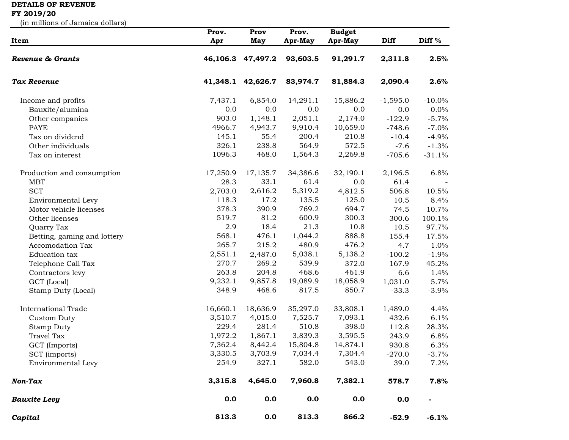## **DETAILS OF REVENUE**

## **FY 2019/20**

(in millions of Jamaica dollars)

|                             | Prov.    | Prov              | Prov.    | <b>Budget</b> |             |                   |
|-----------------------------|----------|-------------------|----------|---------------|-------------|-------------------|
| Item                        | Apr      | May               | Apr-May  | Apr-May       | <b>Diff</b> | Diff <sup>%</sup> |
| Revenue & Grants            |          | 46,106.3 47,497.2 | 93,603.5 | 91,291.7      | 2,311.8     | 2.5%              |
| Tax Revenue                 | 41,348.1 | 42,626.7          | 83,974.7 | 81,884.3      | 2,090.4     | 2.6%              |
| Income and profits          | 7,437.1  | 6,854.0           | 14,291.1 | 15,886.2      | $-1,595.0$  | $-10.0\%$         |
| Bauxite/alumina             | 0.0      | 0.0               | 0.0      | 0.0           | 0.0         | $0.0\%$           |
| Other companies             | 903.0    | 1,148.1           | 2,051.1  | 2,174.0       | $-122.9$    | $-5.7%$           |
| <b>PAYE</b>                 | 4966.7   | 4,943.7           | 9,910.4  | 10,659.0      | $-748.6$    | $-7.0%$           |
| Tax on dividend             | 145.1    | 55.4              | 200.4    | 210.8         | $-10.4$     | $-4.9%$           |
| Other individuals           | 326.1    | 238.8             | 564.9    | 572.5         | $-7.6$      | $-1.3%$           |
| Tax on interest             | 1096.3   | 468.0             | 1,564.3  | 2,269.8       | $-705.6$    | $-31.1%$          |
| Production and consumption  | 17,250.9 | 17,135.7          | 34,386.6 | 32,190.1      | 2,196.5     | 6.8%              |
| <b>MBT</b>                  | 28.3     | 33.1              | 61.4     | 0.0           | 61.4        |                   |
| <b>SCT</b>                  | 2,703.0  | 2,616.2           | 5,319.2  | 4,812.5       | 506.8       | 10.5%             |
| Environmental Levy          | 118.3    | 17.2              | 135.5    | 125.0         | 10.5        | 8.4%              |
| Motor vehicle licenses      | 378.3    | 390.9             | 769.2    | 694.7         | 74.5        | 10.7%             |
| Other licenses              | 519.7    | 81.2              | 600.9    | 300.3         | 300.6       | 100.1%            |
| Quarry Tax                  | 2.9      | 18.4              | 21.3     | 10.8          | 10.5        | 97.7%             |
| Betting, gaming and lottery | 568.1    | 476.1             | 1,044.2  | 888.8         | 155.4       | 17.5%             |
| Accomodation Tax            | 265.7    | 215.2             | 480.9    | 476.2         | 4.7         | 1.0%              |
| Education tax               | 2,551.1  | 2,487.0           | 5,038.1  | 5,138.2       | $-100.2$    | $-1.9%$           |
| Telephone Call Tax          | 270.7    | 269.2             | 539.9    | 372.0         | 167.9       | 45.2%             |
| Contractors levy            | 263.8    | 204.8             | 468.6    | 461.9         | 6.6         | 1.4%              |
| GCT (Local)                 | 9,232.1  | 9,857.8           | 19,089.9 | 18,058.9      | 1,031.0     | 5.7%              |
| Stamp Duty (Local)          | 348.9    | 468.6             | 817.5    | 850.7         | $-33.3$     | $-3.9%$           |
| <b>International Trade</b>  | 16,660.1 | 18,636.9          | 35,297.0 | 33,808.1      | 1,489.0     | 4.4%              |
| Custom Duty                 | 3,510.7  | 4,015.0           | 7,525.7  | 7,093.1       | 432.6       | 6.1%              |
| <b>Stamp Duty</b>           | 229.4    | 281.4             | 510.8    | 398.0         | 112.8       | 28.3%             |
| <b>Travel Tax</b>           | 1,972.2  | 1,867.1           | 3,839.3  | 3,595.5       | 243.9       | 6.8%              |
| GCT (Imports)               | 7,362.4  | 8,442.4           | 15,804.8 | 14,874.1      | 930.8       | 6.3%              |
| SCT (imports)               | 3,330.5  | 3,703.9           | 7,034.4  | 7,304.4       | $-270.0$    | $-3.7%$           |
| Environmental Levy          | 254.9    | 327.1             | 582.0    | 543.0         | 39.0        | 7.2%              |
| Non-Tax                     | 3,315.8  | 4,645.0           | 7,960.8  | 7,382.1       | 578.7       | 7.8%              |
| <b>Bauxite Levy</b>         | 0.0      | 0.0               | 0.0      | 0.0           | 0.0         |                   |
| Capital                     | 813.3    | 0.0               | 813.3    | 866.2         | $-52.9$     | $-6.1%$           |